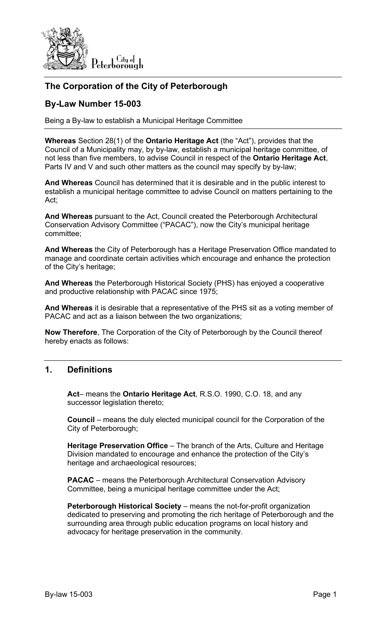

# **The Corporation of the City of Peterborough**

## **By-Law Number 15-003**

Being a By-law to establish a Municipal Heritage Committee

**Whereas** Section 28(1) of the **Ontario Heritage Act** (the "Act"), provides that the Council of a Municipality may, by by-law, establish a municipal heritage committee, of not less than five members, to advise Council in respect of the **Ontario Heritage Act**, Parts IV and V and such other matters as the council may specify by by-law;

**And Whereas** Council has determined that it is desirable and in the public interest to establish a municipal heritage committee to advise Council on matters pertaining to the Act;

**And Whereas** pursuant to the Act, Council created the Peterborough Architectural Conservation Advisory Committee ("PACAC"), now the City's municipal heritage committee;

**And Whereas** the City of Peterborough has a Heritage Preservation Office mandated to manage and coordinate certain activities which encourage and enhance the protection of the City's heritage;

**And Whereas** the Peterborough Historical Society (PHS) has enjoyed a cooperative and productive relationship with PACAC since 1975;

**And Whereas** it is desirable that a representative of the PHS sit as a voting member of PACAC and act as a liaison between the two organizations;

**Now Therefore**, The Corporation of the City of Peterborough by the Council thereof hereby enacts as follows:

## **1. Definitions**

**Act**– means the **Ontario Heritage Act**, R.S.O. 1990, C.O. 18, and any successor legislation thereto;

**Council** – means the duly elected municipal council for the Corporation of the City of Peterborough;

**Heritage Preservation Office** – The branch of the Arts, Culture and Heritage Division mandated to encourage and enhance the protection of the City's heritage and archaeological resources;

**PACAC** – means the Peterborough Architectural Conservation Advisory Committee, being a municipal heritage committee under the Act;

**Peterborough Historical Society** – means the not-for-profit organization dedicated to preserving and promoting the rich heritage of Peterborough and the surrounding area through public education programs on local history and advocacy for heritage preservation in the community.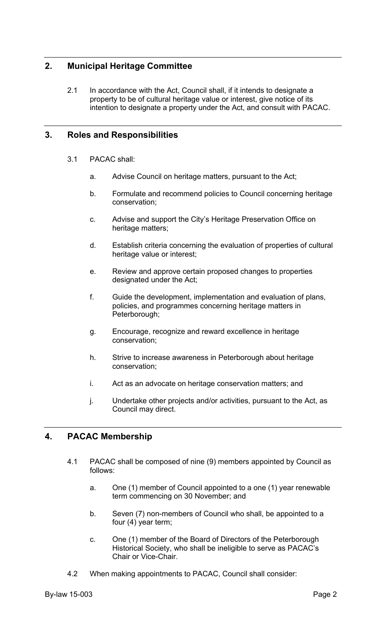## **2. Municipal Heritage Committee**

2.1 In accordance with the Act, Council shall, if it intends to designate a property to be of cultural heritage value or interest, give notice of its intention to designate a property under the Act, and consult with PACAC.

### **3. Roles and Responsibilities**

- 3.1 PACAC shall:
	- a. Advise Council on heritage matters, pursuant to the Act;
	- b. Formulate and recommend policies to Council concerning heritage conservation;
	- c. Advise and support the City's Heritage Preservation Office on heritage matters;
	- d. Establish criteria concerning the evaluation of properties of cultural heritage value or interest;
	- e. Review and approve certain proposed changes to properties designated under the Act;
	- f. Guide the development, implementation and evaluation of plans, policies, and programmes concerning heritage matters in Peterborough;
	- g. Encourage, recognize and reward excellence in heritage conservation;
	- h. Strive to increase awareness in Peterborough about heritage conservation;
	- i. Act as an advocate on heritage conservation matters; and
	- j. Undertake other projects and/or activities, pursuant to the Act, as Council may direct.

#### **4. PACAC Membership**

- 4.1 PACAC shall be composed of nine (9) members appointed by Council as follows:
	- a. One (1) member of Council appointed to a one (1) year renewable term commencing on 30 November; and
	- b. Seven (7) non-members of Council who shall, be appointed to a four (4) year term;
	- c. One (1) member of the Board of Directors of the Peterborough Historical Society, who shall be ineligible to serve as PACAC's Chair or Vice-Chair.
- 4.2 When making appointments to PACAC, Council shall consider: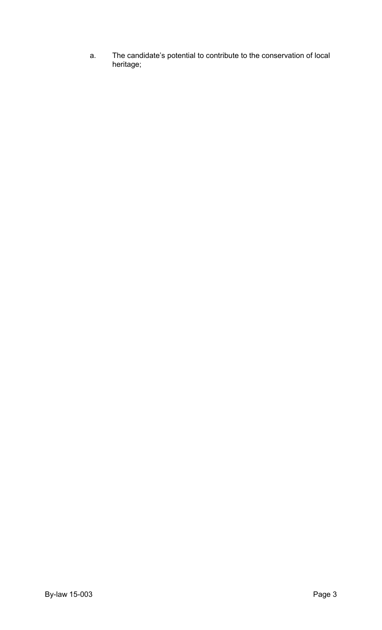a. The candidate's potential to contribute to the conservation of local heritage;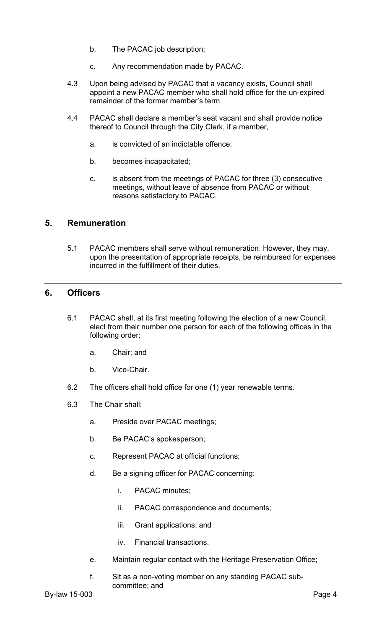- b. The PACAC job description;
- c. Any recommendation made by PACAC.
- 4.3 Upon being advised by PACAC that a vacancy exists, Council shall appoint a new PACAC member who shall hold office for the un-expired remainder of the former member's term.
- 4.4 PACAC shall declare a member's seat vacant and shall provide notice thereof to Council through the City Clerk, if a member,
	- a. is convicted of an indictable offence;
	- b. becomes incapacitated;
	- c. is absent from the meetings of PACAC for three (3) consecutive meetings, without leave of absence from PACAC or without reasons satisfactory to PACAC.

#### **5. Remuneration**

5.1 PACAC members shall serve without remuneration. However, they may, upon the presentation of appropriate receipts, be reimbursed for expenses incurred in the fulfillment of their duties.

### **6. Officers**

- 6.1 PACAC shall, at its first meeting following the election of a new Council, elect from their number one person for each of the following offices in the following order:
	- a. Chair; and
	- b. Vice-Chair.
- 6.2 The officers shall hold office for one (1) year renewable terms.
- 6.3 The Chair shall:
	- a. Preside over PACAC meetings;
	- b. Be PACAC's spokesperson;
	- c. Represent PACAC at official functions;
	- d. Be a signing officer for PACAC concerning:
		- i. PACAC minutes;
		- ii. PACAC correspondence and documents;
		- iii. Grant applications; and
		- iv. Financial transactions.
	- e. Maintain regular contact with the Heritage Preservation Office;
	- f. Sit as a non-voting member on any standing PACAC subcommittee; and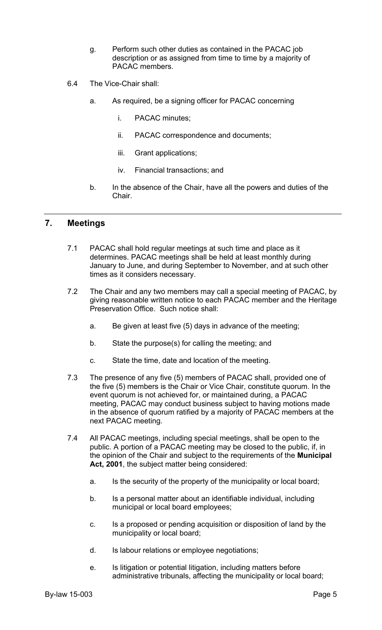- g. Perform such other duties as contained in the PACAC job description or as assigned from time to time by a majority of PACAC members.
- 6.4 The Vice-Chair shall:
	- a. As required, be a signing officer for PACAC concerning
		- i. PACAC minutes;
		- ii. PACAC correspondence and documents;
		- iii. Grant applications;
		- iv. Financial transactions; and
	- b. In the absence of the Chair, have all the powers and duties of the Chair.

#### **7. Meetings**

- 7.1 PACAC shall hold regular meetings at such time and place as it determines. PACAC meetings shall be held at least monthly during January to June, and during September to November, and at such other times as it considers necessary.
- 7.2 The Chair and any two members may call a special meeting of PACAC, by giving reasonable written notice to each PACAC member and the Heritage Preservation Office. Such notice shall:
	- a. Be given at least five (5) days in advance of the meeting;
	- b. State the purpose(s) for calling the meeting; and
	- c. State the time, date and location of the meeting.
- 7.3 The presence of any five (5) members of PACAC shall, provided one of the five (5) members is the Chair or Vice Chair, constitute quorum. In the event quorum is not achieved for, or maintained during, a PACAC meeting, PACAC may conduct business subject to having motions made in the absence of quorum ratified by a majority of PACAC members at the next PACAC meeting.
- 7.4 All PACAC meetings, including special meetings, shall be open to the public. A portion of a PACAC meeting may be closed to the public, if, in the opinion of the Chair and subject to the requirements of the **Municipal Act, 2001**, the subject matter being considered:
	- a. Is the security of the property of the municipality or local board;
	- b. Is a personal matter about an identifiable individual, including municipal or local board employees;
	- c. Is a proposed or pending acquisition or disposition of land by the municipality or local board;
	- d. Is labour relations or employee negotiations;
	- e. Is litigation or potential litigation, including matters before administrative tribunals, affecting the municipality or local board;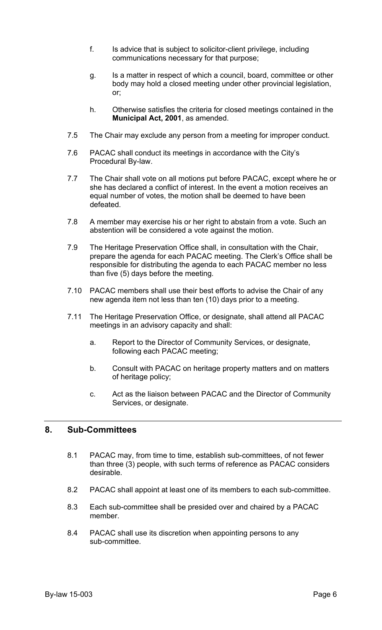- f. Is advice that is subject to solicitor-client privilege, including communications necessary for that purpose;
- g. Is a matter in respect of which a council, board, committee or other body may hold a closed meeting under other provincial legislation, or;
- h. Otherwise satisfies the criteria for closed meetings contained in the **Municipal Act, 2001**, as amended.
- 7.5 The Chair may exclude any person from a meeting for improper conduct.
- 7.6 PACAC shall conduct its meetings in accordance with the City's Procedural By-law.
- 7.7 The Chair shall vote on all motions put before PACAC, except where he or she has declared a conflict of interest. In the event a motion receives an equal number of votes, the motion shall be deemed to have been defeated.
- 7.8 A member may exercise his or her right to abstain from a vote. Such an abstention will be considered a vote against the motion.
- 7.9 The Heritage Preservation Office shall, in consultation with the Chair, prepare the agenda for each PACAC meeting. The Clerk's Office shall be responsible for distributing the agenda to each PACAC member no less than five (5) days before the meeting.
- 7.10 PACAC members shall use their best efforts to advise the Chair of any new agenda item not less than ten (10) days prior to a meeting.
- 7.11 The Heritage Preservation Office, or designate, shall attend all PACAC meetings in an advisory capacity and shall:
	- a. Report to the Director of Community Services, or designate, following each PACAC meeting;
	- b. Consult with PACAC on heritage property matters and on matters of heritage policy;
	- c. Act as the liaison between PACAC and the Director of Community Services, or designate.

#### **8. Sub-Committees**

- 8.1 PACAC may, from time to time, establish sub-committees, of not fewer than three (3) people, with such terms of reference as PACAC considers desirable.
- 8.2 PACAC shall appoint at least one of its members to each sub-committee.
- 8.3 Each sub-committee shall be presided over and chaired by a PACAC member.
- 8.4 PACAC shall use its discretion when appointing persons to any sub-committee.